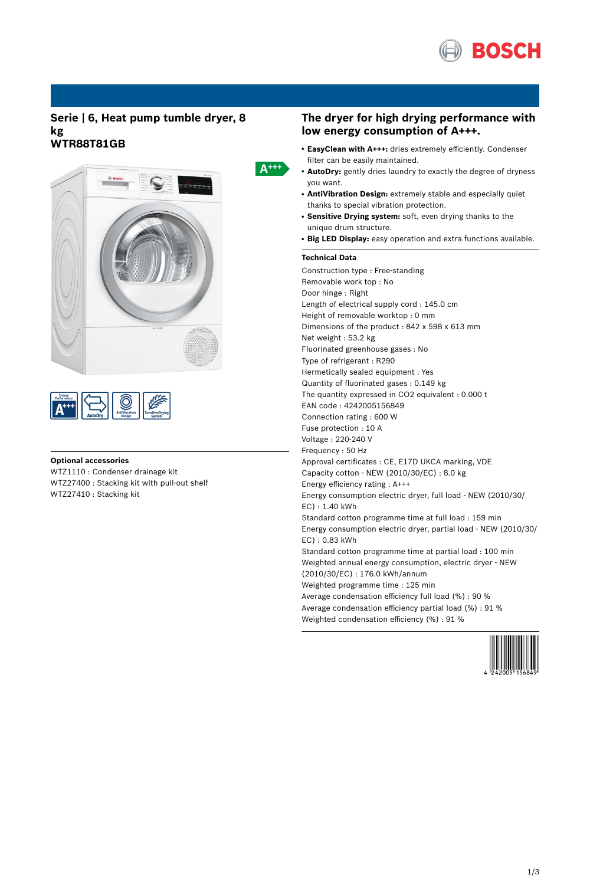

# **Serie | 6, Heat pump tumble dryer, 8 kg WTR88T81GB**



| <b>AutoDrv</b> |  | <b>Orying</b><br><b>System</b> |
|----------------|--|--------------------------------|
|----------------|--|--------------------------------|

### **Optional accessories**

WTZ1110 : Condenser drainage kit WTZ27400 : Stacking kit with pull-out shelf WTZ27410 : Stacking kit

# $A^{+++}$

### **The dryer for high drying performance with low energy consumption of A+++.**

- EasyClean with A+++: dries extremely efficiently. Condenser filter can be easily maintained.
- **AutoDry:** gently dries laundry to exactly the degree of dryness you want.
- **AntiVibration Design:** extremely stable and especially quiet thanks to special vibration protection.
- **Sensitive Drying system:** soft, even drying thanks to the unique drum structure.
- **Big LED Display:** easy operation and extra functions available.

### **Technical Data**

Construction type : Free-standing Removable work top : No Door hinge : Right Length of electrical supply cord : 145.0 cm Height of removable worktop : 0 mm Dimensions of the product : 842 x 598 x 613 mm Net weight : 53.2 kg Fluorinated greenhouse gases : No Type of refrigerant : R290 Hermetically sealed equipment : Yes Quantity of fluorinated gases : 0.149 kg The quantity expressed in CO2 equivalent : 0.000 t EAN code : 4242005156849 Connection rating : 600 W Fuse protection : 10 A Voltage : 220-240 V Frequency : 50 Hz Approval certificates : CE, E17D UKCA marking, VDE Capacity cotton - NEW (2010/30/EC) : 8.0 kg Energy efficiency rating : A+++ Energy consumption electric dryer, full load - NEW (2010/30/ EC) : 1.40 kWh Standard cotton programme time at full load : 159 min Energy consumption electric dryer, partial load - NEW (2010/30/ EC) : 0.83 kWh Standard cotton programme time at partial load : 100 min Weighted annual energy consumption, electric dryer - NEW (2010/30/EC) : 176.0 kWh/annum Weighted programme time : 125 min Average condensation efficiency full load (%) : 90 % Average condensation efficiency partial load (%) : 91 % Weighted condensation efficiency (%) : 91 %

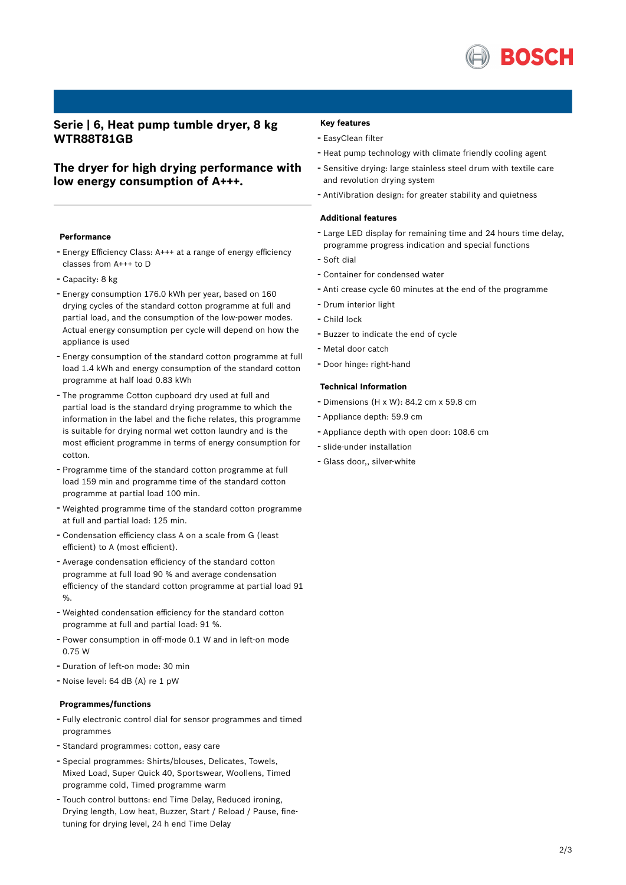

# **Serie | 6, Heat pump tumble dryer, 8 kg WTR88T81GB**

# **The dryer for high drying performance with low energy consumption of A+++.**

#### **Performance**

- Energy Efficiency Class: A+++ at <sup>a</sup> range of energy efficiency classes from A+++ to D
- Capacity: <sup>8</sup> kg
- Energy consumption 176.0 kWh per year, based on <sup>160</sup> drying cycles of the standard cotton programme at full and partial load, and the consumption of the low-power modes. Actual energy consumption per cycle will depend on how the appliance is used
- Energy consumption of the standard cotton programme at full load 1.4 kWh and energy consumption of the standard cotton programme at half load 0.83 kWh
- The programme Cotton cupboard dry used at full and partial load is the standard drying programme to which the information in the label and the fiche relates, this programme is suitable for drying normal wet cotton laundry and is the most efficient programme in terms of energy consumption for cotton.
- Programme time of the standard cotton programme at full load 159 min and programme time of the standard cotton programme at partial load 100 min.
- Weighted programme time of the standard cotton programme at full and partial load: 125 min.
- Condensation efficiency class <sup>A</sup> on <sup>a</sup> scale from <sup>G</sup> (least efficient) to A (most efficient).
- Average condensation efficiency of the standard cotton programme at full load 90 % and average condensation efficiency of the standard cotton programme at partial load 91 %.
- Weighted condensation efficiency for the standard cotton programme at full and partial load: 91 %.
- Power consumption in off-mode 0.1 <sup>W</sup> and in left-on mode 0.75 W
- Duration of left-on mode: <sup>30</sup> min
- Noise level: <sup>64</sup> dB (A) re <sup>1</sup> pW

#### **Programmes/functions**

- Fully electronic control dial for sensor programmes and timed programmes
- Standard programmes: cotton, easy care
- Special programmes: Shirts/blouses, Delicates, Towels, Mixed Load, Super Quick 40, Sportswear, Woollens, Timed programme cold, Timed programme warm
- Touch control buttons: end Time Delay, Reduced ironing, Drying length, Low heat, Buzzer, Start / Reload / Pause, finetuning for drying level, 24 h end Time Delay

### **Key features**

- EasyClean filter
- Heat pump technology with climate friendly cooling agent
- Sensitive drying: large stainless steel drum with textile care and revolution drying system
- AntiVibration design: for greater stability and quietness

#### **Additional features**

- Large LED display for remaining time and <sup>24</sup> hours time delay, programme progress indication and special functions
- Soft dial
- Container for condensed water
- Anti crease cycle <sup>60</sup> minutes at the end of the programme
- Drum interior light
- Child lock
- Buzzer to indicate the end of cycle
- Metal door catch
- Door hinge: right-hand

### **Technical Information**

- Dimensions (H x W): 84.2 cm x 59.8 cm
- Appliance depth: 59.9 cm
- Appliance depth with open door: 108.6 cm
- slide-under installation
- Glass door,, silver-white